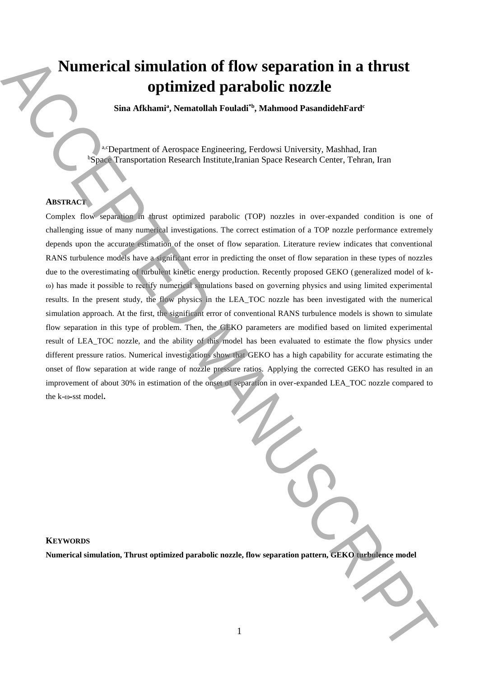# **Numerical simulation of flow separation in a thrust optimized parabolic nozzle**

**Sina Afkhami<sup>a</sup> , Nematollah Fouladi\*b, Mahmood PasandidehFard<sup>c</sup>**

a,cDepartment of Aerospace Engineering, Ferdowsi University, Mashhad, Iran <sup>b</sup>Space Transportation Research Institute,Iranian Space Research Center, Tehran, Iran

# **ABSTRACT**

Complex flow separation in thrust optimized parabolic (TOP) nozzles in over-expanded condition is one of challenging issue of many numerical investigations. The correct estimation of a TOP nozzle performance extremely depends upon the accurate estimation of the onset of flow separation. Literature review indicates that conventional RANS turbulence models have a significant error in predicting the onset of flow separation in these types of nozzles due to the overestimating of turbulent kinetic energy production. Recently proposed GEKO (generalized model of kω) has made it possible to rectify numerical simulations based on governing physics and using limited experimental results. In the present study, the flow physics in the LEA\_TOC nozzle has been investigated with the numerical simulation approach. At the first, the significant error of conventional RANS turbulence models is shown to simulate flow separation in this type of problem. Then, the GEKO parameters are modified based on limited experimental result of LEA\_TOC nozzle, and the ability of this model has been evaluated to estimate the flow physics under different pressure ratios. Numerical investigations show that GEKO has a high capability for accurate estimating the onset of flow separation at wide range of nozzle pressure ratios. Applying the corrected GEKO has resulted in an improvement of about 30% in estimation of the onset of separation in over-expanded LEA\_TOC nozzle compared to the k-ω**-**sst model**. Numerical simulation of flow separation in a thrust optimized simulated parabolic nozzle,** simulated parabolic nozzle, simulated parabolic nozzle,  $\frac{1}{2}$  ( $\frac{1}{2}$  ( $\frac{1}{2}$  ( $\frac{1}{2}$  ( $\frac{1}{2}$  ( $\frac{1}{2}$  ( $\frac{1}{2}$ 

## **KEYWORDS**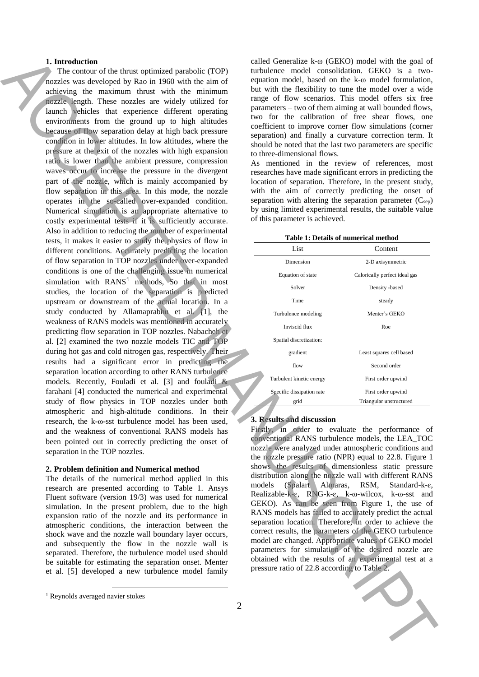## **1. Introduction**

The contour of the thrust optimized parabolic (TOP) nozzles was developed by Rao in 1960 with the aim of achieving the maximum thrust with the minimum nozzle length. These nozzles are widely utilized for launch vehicles that experience different operating environments from the ground up to high altitudes because of flow separation delay at high back pressure condition in lower altitudes. In low altitudes, where the pressure at the exit of the nozzles with high expansion ratio is lower than the ambient pressure, compression waves occur to increase the pressure in the divergent part of the nozzle, which is mainly accompanied by flow separation in this area. In this mode, the nozzle operates in the so-called over-expanded condition. Numerical simulation is an appropriate alternative to costly experimental tests if it is sufficiently accurate. Also in addition to reducing the number of experimental tests, it makes it easier to study the physics of flow in different conditions. Accurately predicting the location of flow separation in TOP nozzles under over-expanded conditions is one of the challenging issue in numerical simulation with  $RANS<sup>1</sup>$  methods, So that in most studies, the location of the separation is predicted upstream or downstream of the actual location. In a study conducted by Allamaprabhu et al. [1], the weakness of RANS models was mentioned in accurately predicting flow separation in TOP nozzles. Nabacheh et al. [2] examined the two nozzle models TIC and TOP during hot gas and cold nitrogen gas, respectively. Their results had a significant error in predicting the separation location according to other RANS turbulence models. Recently, Fouladi et al. [3] and fouladi & farahani [4] conducted the numerical and experimental study of flow physics in TOP nozzles under both atmospheric and high-altitude conditions. In their research, the k-ω-sst turbulence model has been used, and the weakness of conventional RANS models has been pointed out in correctly predicting the onset of separation in the TOP nozzles. **1.** Interesting the function of the transition is a continue of CEO model with the space of 22.8 and 22.8 accepted to Table 2. Accepted to Table 2. Accepted to Table 2. Accepted to Table 2. Accepted to Table 2. Accepted

#### **2. Problem definition and Numerical method**

The details of the numerical method applied in this research are presented according to Table 1. Ansys Fluent software (version 19/3) was used for numerical simulation. In the present problem, due to the high expansion ratio of the nozzle and its performance in atmospheric conditions, the interaction between the shock wave and the nozzle wall boundary layer occurs, and subsequently the flow in the nozzle wall is separated. Therefore, the turbulence model used should be suitable for estimating the separation onset. Menter et al. [5] developed a new turbulence model family As mentioned in the review of references, most researches have made significant errors in predicting the location of separation. Therefore, in the present study, with the aim of correctly predicting the onset of separation with altering the separation parameter  $(C_{\text{sep}})$ by using limited experimental results, the suitable value of this parameter is achieved.

|  |  | Table 1: Details of numerical method |  |
|--|--|--------------------------------------|--|
|--|--|--------------------------------------|--|

| List                      | Content                       |
|---------------------------|-------------------------------|
| Dimension                 | 2-D axisymmetric              |
| Equation of state         | Calorically perfect ideal gas |
| Solver                    | Density -based                |
| <b>Time</b>               | steady                        |
| Turbulence modeling       | Menter's GEKO                 |
| Inviscid flux             | Roe                           |
| Spatial discretization:   |                               |
| gradient                  | Least squares cell based      |
| flow                      | Second order                  |
| Turbulent kinetic energy  | First order upwind            |
| Specific dissipation rate | First order upwind            |
| grid                      | Triangular unstructured       |

## **3. Results and discussion**

Firstly, in order to evaluate the performance of conventional RANS turbulence models, the LEA\_TOC nozzle were analyzed under atmospheric conditions and the nozzle pressure ratio (NPR) equal to 22.8. Figure 1 shows the results of dimensionless static pressure distribution along the nozzle wall with different RANS models (Spalart Almaras, RSM, Standard-k-ɛ, Realizable-k-ɛ, RNG-k-ɛ, k-ω-wilcox, k-ω-sst and GEKO). As can be seen from Figure 1, the use of RANS models has failed to accurately predict the actual separation location. Therefore, in order to achieve the correct results, the parameters of the GEKO turbulence model are changed. Appropriate values of GEKO model parameters for simulation of the desired nozzle are obtained with the results of an experimental test at a

**.** 

called Generalize k-ω (GEKO) model with the goal of turbulence model consolidation. GEKO is a twoequation model, based on the k-ω model formulation, but with the flexibility to tune the model over a wide range of flow scenarios. This model offers six free parameters – two of them aiming at wall bounded flows, two for the calibration of free shear flows, one coefficient to improve corner flow simulations (corner separation) and finally a curvature correction term. It should be noted that the last two parameters are specific to three-dimensional flows.

<sup>&</sup>lt;sup>1</sup> Reynolds averaged navier stokes